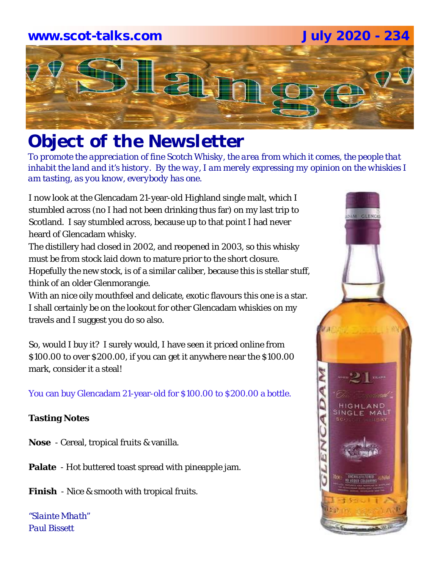# **www.scot-talks.com July 2020 - 234**Lay

# *Object of the Newsletter*

*To promote the appreciation of fine Scotch Whisky, the area from which it comes, the people that inhabit the land and it's history. By the way, I am merely expressing my opinion on the whiskies I am tasting, as you know, everybody has one.* 

I now look at the Glencadam 21-year-old Highland single malt, which I stumbled across (no I had not been drinking thus far) on my last trip to Scotland. I say stumbled across, because up to that point I had never heard of Glencadam whisky.

The distillery had closed in 2002, and reopened in 2003, so this whisky must be from stock laid down to mature prior to the short closure. Hopefully the new stock, is of a similar caliber, because this is stellar stuff, think of an older Glenmorangie.

With an nice oily mouthfeel and delicate, exotic flavours this one is a star. I shall certainly be on the lookout for other Glencadam whiskies on my travels and I suggest you do so also.

So, would I buy it? I surely would, I have seen it priced online from \$100.00 to over \$200.00, if you can get it anywhere near the \$100.00 mark, consider it a steal!

You can buy Glencadam 21-year-old for \$100.00 to \$200.00 a bottle.

# **Tasting Notes**

**Nose** - Cereal, tropical fruits & vanilla.

**Palate** - Hot buttered toast spread with pineapple jam.

**Finish** - Nice & smooth with tropical fruits.

*"Slainte Mhath" Paul Bissett*

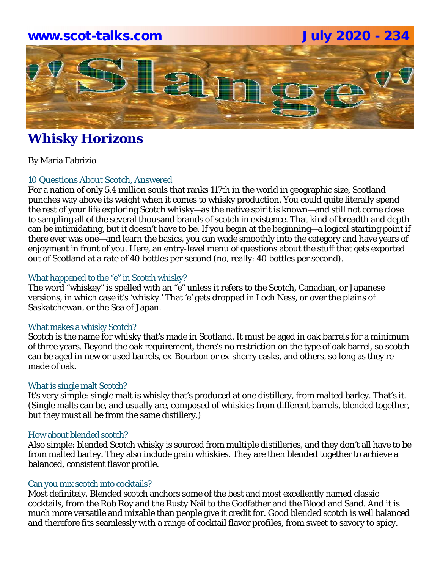# **www.scot-talks.com July 2020 - 234**



# **Whisky Horizons**

By Maria Fabrizio

# 10 Questions About Scotch, Answered

For a nation of only 5.4 million souls that ranks 117th in the world in geographic size, Scotland punches way above its weight when it comes to whisky production. You could quite literally spend the rest of your life exploring Scotch whisky—as the native spirit is known—and still not come close to sampling all of the several thousand brands of scotch in existence. That kind of breadth and depth can be intimidating, but it doesn't have to be. If you begin at the beginning—a logical starting point if there ever was one—and learn the basics, you can wade smoothly into the category and have years of enjoyment in front of you. Here, an entry-level menu of questions about the stuff that gets exported out of Scotland at a rate of 40 bottles per second (no, really: 40 bottles per *second*).

# What happened to the "e" in Scotch whisky?

The word "whiskey" is spelled with an "e" unless it refers to the Scotch, Canadian, or Japanese versions, in which case it's 'whisky.' That 'e' gets dropped in Loch Ness, or over the plains of Saskatchewan, or the Sea of Japan.

### What makes a whisky Scotch?

Scotch is the name for whisky that's made in Scotland. It must be aged in oak barrels for a minimum of three years. Beyond the oak requirement, there's no restriction on the type of oak barrel, so scotch can be aged in new or used barrels, ex-Bourbon or ex-sherry casks, and others, so long as they're made of oak.

### What is single malt Scotch?

It's very simple: single malt is whisky that's produced at one distillery, from malted barley. That's it. (Single malts can be, and usually are, composed of whiskies from different barrels, blended together, but they must all be from the same distillery.)

### How about blended scotch?

Also simple: blended Scotch whisky is sourced from multiple distilleries, and they don't all have to be from malted barley. They also include grain whiskies. They are then blended together to achieve a balanced, consistent flavor profile.

### Can you mix scotch into cocktails?

Most definitely. Blended scotch anchors some of the best and most excellently named classic cocktails, from the Rob Roy and the Rusty Nail to the Godfather and the Blood and Sand. And it is much more versatile and mixable than people give it credit for. Good blended scotch is well balanced and therefore fits seamlessly with a range of cocktail flavor profiles, from sweet to savory to spicy.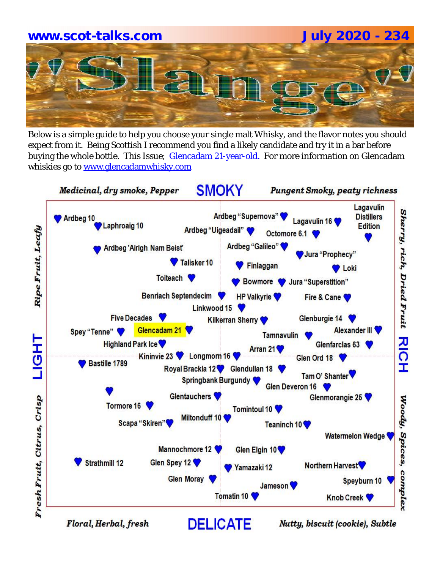# **www.scot-talks.com July 2020 - 234**

Below is a simple guide to help you choose your single malt Whisky, and the flavor notes you should expect from it. Being Scottish I recommend you find a likely candidate and try it in a bar before buying the whole bottle. This Issue; Glencadam 21-year-old. For more information on Glencadam whiskies go to www.glencadamwhisky.com

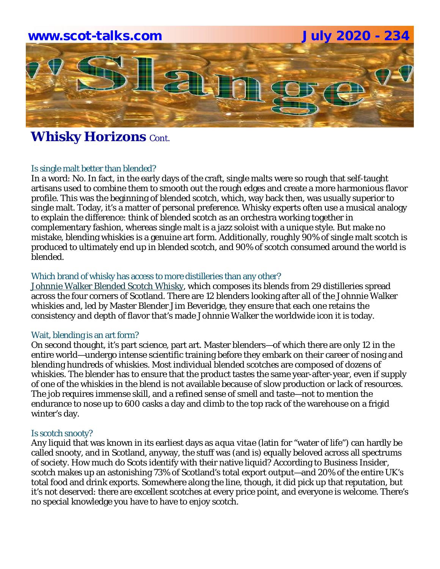# **www.scot-talks.com July 2020 - 234** -211

# **Whisky Horizons Cont.**

# Is single malt better than blended?

In a word: No. In fact, in the early days of the craft, single malts were so rough that self-taught artisans used to combine them to smooth out the rough edges and create a more harmonious flavor profile. This was the beginning of blended scotch, which, way back then, was usually superior to single malt. Today, it's a matter of personal preference. Whisky experts often use a musical analogy to explain the difference: think of blended scotch as an orchestra working together in complementary fashion, whereas single malt is a jazz soloist with a unique style. But make no mistake, blending whiskies is a genuine art form. Additionally, roughly 90% of single malt scotch is produced to ultimately end up in blended scotch, and 90% of scotch consumed around the world is blended.

# Which brand of whisky has access to more distilleries than any other?

Johnnie Walker Blended Scotch Whisky, which composes its blends from 29 distilleries spread across the four corners of Scotland. There are 12 blenders looking after all of the Johnnie Walker whiskies and, led by Master Blender Jim Beveridge, they ensure that each one retains the consistency and depth of flavor that's made Johnnie Walker the worldwide icon it is today.

### Wait, blending is an art form?

On second thought, it's part science, part art. Master blenders—of which there are only 12 in the entire world—undergo intense scientific training before they embark on their career of nosing and blending hundreds of whiskies. Most individual blended scotches are composed of dozens of whiskies. The blender has to ensure that the product tastes the same year-after-year, even if supply of one of the whiskies in the blend is not available because of slow production or lack of resources. The job requires immense skill, and a refined sense of smell and taste—not to mention the endurance to nose up to 600 casks a day and climb to the top rack of the warehouse on a frigid winter's day.

# Is scotch snooty?

Any liquid that was known in its earliest days as *aqua vitae* (latin for "water of life") can hardly be called snooty, and in Scotland, anyway, the stuff was (and is) equally beloved across all spectrums of society. How much do Scots identify with their native liquid? According to *Business Insider*, scotch makes up an astonishing 73% of Scotland's total export output—and 20% of the entire UK's total food and drink exports. Somewhere along the line, though, it did pick up that reputation, but it's not deserved: there are excellent scotches at every price point, and everyone is welcome. There's no special knowledge you have to have to enjoy scotch.